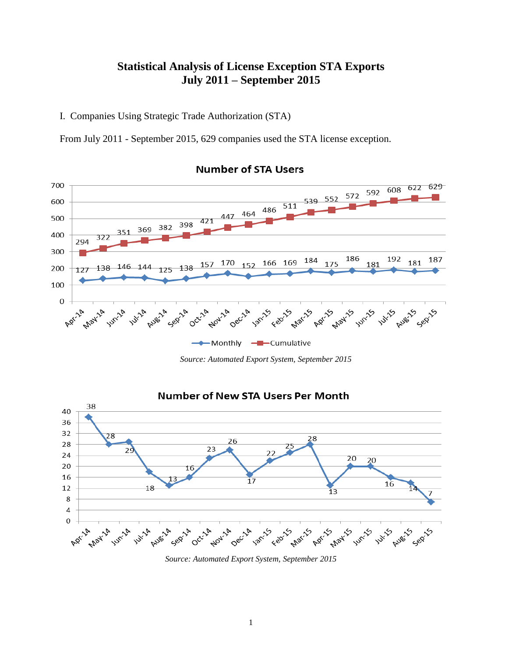# **Statistical Analysis of License Exception STA Exports July 2011 – September 2015**

I. Companies Using Strategic Trade Authorization (STA)

From July 2011 - September 2015, 629 companies used the STA license exception.



# **Number of STA Users**

*Source: Automated Export System, September 2015*



### **Number of New STA Users Per Month**

*Source: Automated Export System, September 2015*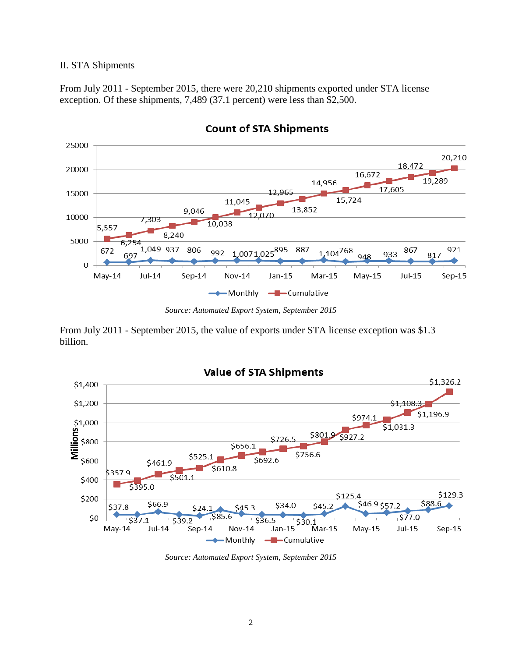#### II. STA Shipments

From July 2011 - September 2015, there were 20,210 shipments exported under STA license exception. Of these shipments, 7,489 (37.1 percent) were less than \$2,500.



## **Count of STA Shipments**

*Source: Automated Export System, September 2015*

From July 2011 - September 2015, the value of exports under STA license exception was \$1.3 billion.



*Source: Automated Export System, September 2015*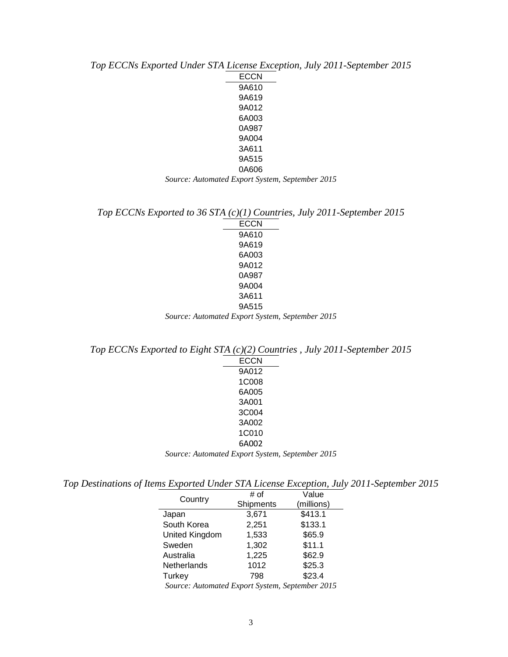*Top ECCNs Exported Under STA License Exception, July 2011-September 2015* ECCN 9A610 9A619 9A012 6A003 0A987 9A004 3A611 9A515 0A606 *Source: Automated Export System, September 2015*

*Top ECCNs Exported to 36 STA (c)(1) Countries, July 2011-September 2015*

ECCN 9A610 9A619 6A003 9A012 0A987 9A004 3A611 9A515 *Source: Automated Export System, September 2015*

*Top ECCNs Exported to Eight STA (c)(2) Countries , July 2011-September 2015*

| <b>ECCN</b>                                     |  |
|-------------------------------------------------|--|
| 9A012                                           |  |
| 1C008                                           |  |
| 6A005                                           |  |
| 3A001                                           |  |
| 3C004                                           |  |
| 3A002                                           |  |
| 1C010                                           |  |
| 6A002                                           |  |
| Source: Automated Export System, September 2015 |  |

*Top Destinations of Items Exported Under STA License Exception, July 2011-September 2015*

| Country                                       | # of      | Value      |
|-----------------------------------------------|-----------|------------|
|                                               | Shipments | (millions) |
| Japan                                         | 3,671     | \$413.1    |
| South Korea                                   | 2,251     | \$133.1    |
| United Kingdom                                | 1,533     | \$65.9     |
| Sweden                                        | 1,302     | \$11.1     |
| Australia                                     | 1,225     | \$62.9     |
| Netherlands                                   | 1012      | \$25.3     |
| Turkey                                        | 798       | \$23.4     |
| Course Automated Export System Contember 2015 |           |            |

*Source: Automated Export System, September 2015*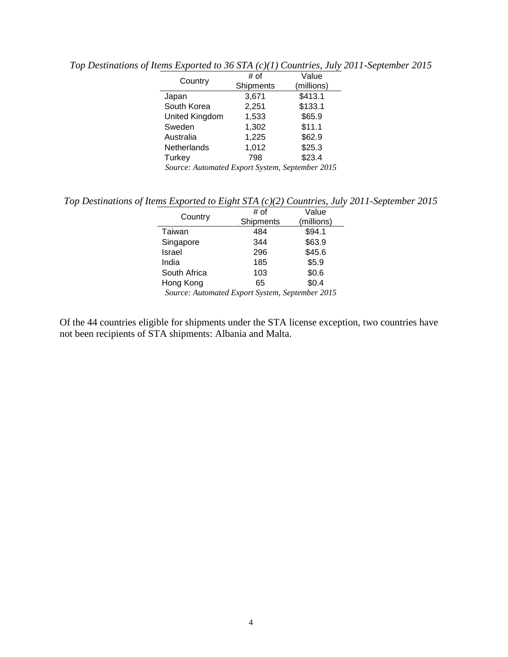| Country                                         | # of      | Value      |
|-------------------------------------------------|-----------|------------|
|                                                 | Shipments | (millions) |
| Japan                                           | 3,671     | \$413.1    |
| South Korea                                     | 2,251     | \$133.1    |
| United Kingdom                                  | 1,533     | \$65.9     |
| Sweden                                          | 1,302     | \$11.1     |
| Australia                                       | 1,225     | \$62.9     |
| Netherlands                                     | 1,012     | \$25.3     |
| Turkey                                          | 798       | \$23.4     |
| Source: Automated Export System, September 2015 |           |            |

*Top Destinations of Items Exported to 36 STA (c)(1) Countries, July 2011-September 2015*

*Top Destinations of Items Exported to Eight STA (c)(2) Countries, July 2011-September 2015*

| Country                                         | # of      | Value      |
|-------------------------------------------------|-----------|------------|
|                                                 | Shipments | (millions) |
| Taiwan                                          | 484       | \$94.1     |
| Singapore                                       | 344       | \$63.9     |
| Israel                                          | 296       | \$45.6     |
| India                                           | 185       | \$5.9      |
| South Africa                                    | 103       | \$0.6      |
| Hong Kong                                       | 65        | \$0.4      |
| Source: Automated Export System, September 2015 |           |            |

Of the 44 countries eligible for shipments under the STA license exception, two countries have not been recipients of STA shipments: Albania and Malta.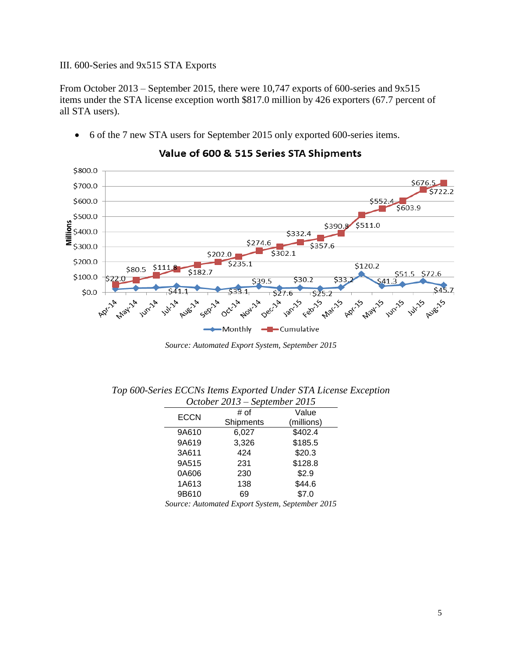#### III. 600-Series and 9x515 STA Exports

From October 2013 – September 2015, there were 10,747 exports of 600-series and 9x515 items under the STA license exception worth \$817.0 million by 426 exporters (67.7 percent of all STA users).

6 of the 7 new STA users for September 2015 only exported 600-series items.

- \$800.0  $$676.5$ \$700.0  $$722.2$ \$600.0 \$603.9 \$500.0 Millions \$511.0 \$390.8 \$400.0 \$332.4 \$274.6 \$300.0  $$357.6$  $$302.1$ \$202.0 \$200.0  $5235.1$  $$120.2$  $$111.8$ \$80.5 \$182.7 \$51 \$100.0  $$39.5$ \$30.2 \$33 41  $$0.0$  $527.6$  $5252$ **Mary** Aug-15 Augs2A Nov-14 .u<br>ar<sup>15</sup> Apr-15 **Allists UIRILA 101-2**4  $\triangleright$ d ⇘ Febr May Monthly -Cumulative
- Value of 600 & 515 Series STA Shipments

*Source: Automated Export System, September 2015*

| October 2013 – September 2015 |           |            |
|-------------------------------|-----------|------------|
| <b>ECCN</b>                   | # of      | Value      |
|                               | Shipments | (millions) |
| 9A610                         | 6,027     | \$402.4    |
| 9A619                         | 3,326     | \$185.5    |
| 3A611                         | 424       | \$20.3     |
| 9A515                         | 231       | \$128.8    |
| 0A606                         | 230       | \$2.9      |
| 1A613                         | 138       | \$44.6     |
| 9B610                         | 69        | \$7.0      |

*Top 600-Series ECCNs Items Exported Under STA License Exception*

*Source: Automated Export System, September 2015*